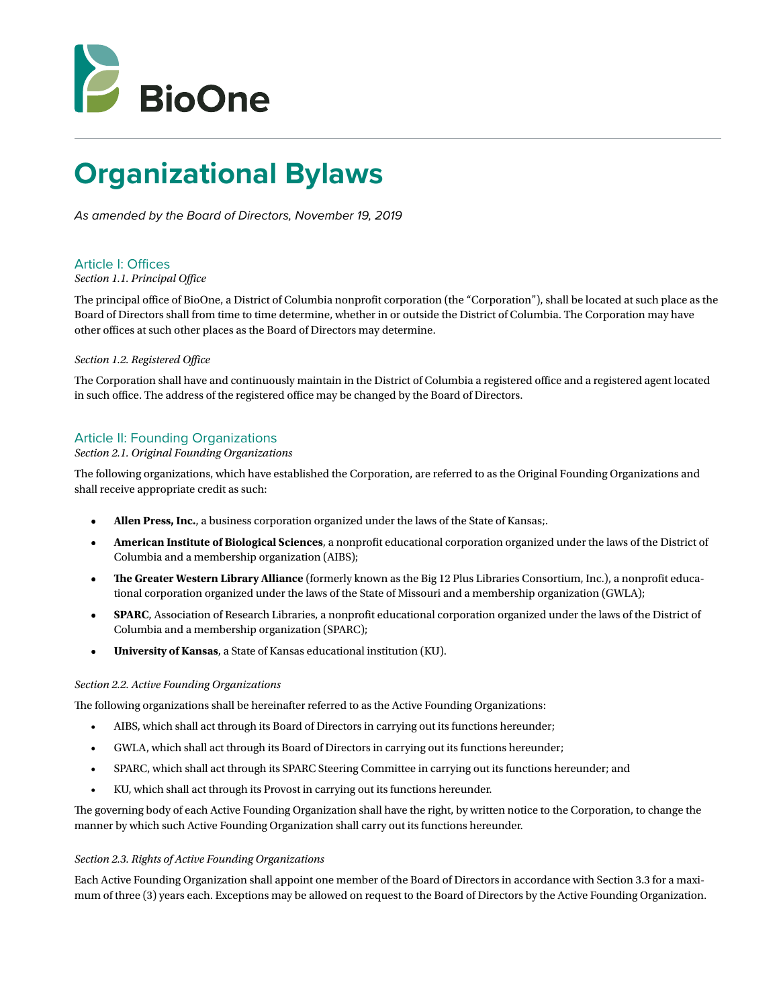

# **Organizational Bylaws**

*As amended by the Board of Directors, November 19, 2019* 

# Article I: Offices

# *Section 1.1. Principal Office*

The principal office of BioOne, a District of Columbia nonprofit corporation (the "Corporation"), shall be located at such place as the Board of Directors shall from time to time determine, whether in or outside the District of Columbia. The Corporation may have other offices at such other places as the Board of Directors may determine.

# *Section 1.2. Registered Office*

The Corporation shall have and continuously maintain in the District of Columbia a registered office and a registered agent located in such office. The address of the registered office may be changed by the Board of Directors.

# Article II: Founding Organizations

# *Section 2.1. Original Founding Organizations*

The following organizations, which have established the Corporation, are referred to as the Original Founding Organizations and shall receive appropriate credit as such:

- **Allen Press, Inc.**, a business corporation organized under the laws of the State of Kansas;.
- **• American Institute of Biological Sciences**, a nonprofit educational corporation organized under the laws of the District of Columbia and a membership organization (AIBS);
- **• The Greater Western Library Alliance** (formerly known as the Big 12 Plus Libraries Consortium, Inc.), a nonprofit educational corporation organized under the laws of the State of Missouri and a membership organization (GWLA);
- **• SPARC**, Association of Research Libraries, a nonprofit educational corporation organized under the laws of the District of Columbia and a membership organization (SPARC);
- **• University of Kansas**, a State of Kansas educational institution (KU).

# *Section 2.2. Active Founding Organizations*

The following organizations shall be hereinafter referred to as the Active Founding Organizations:

- AIBS, which shall act through its Board of Directors in carrying out its functions hereunder;
- GWLA, which shall act through its Board of Directors in carrying out its functions hereunder;
- SPARC, which shall act through its SPARC Steering Committee in carrying out its functions hereunder; and
- KU, which shall act through its Provost in carrying out its functions hereunder.

The governing body of each Active Founding Organization shall have the right, by written notice to the Corporation, to change the manner by which such Active Founding Organization shall carry out its functions hereunder.

#### *Section 2.3. Rights of Active Founding Organizations*

Each Active Founding Organization shall appoint one member of the Board of Directors in accordance with Section 3.3 for a maximum of three (3) years each. Exceptions may be allowed on request to the Board of Directors by the Active Founding Organization.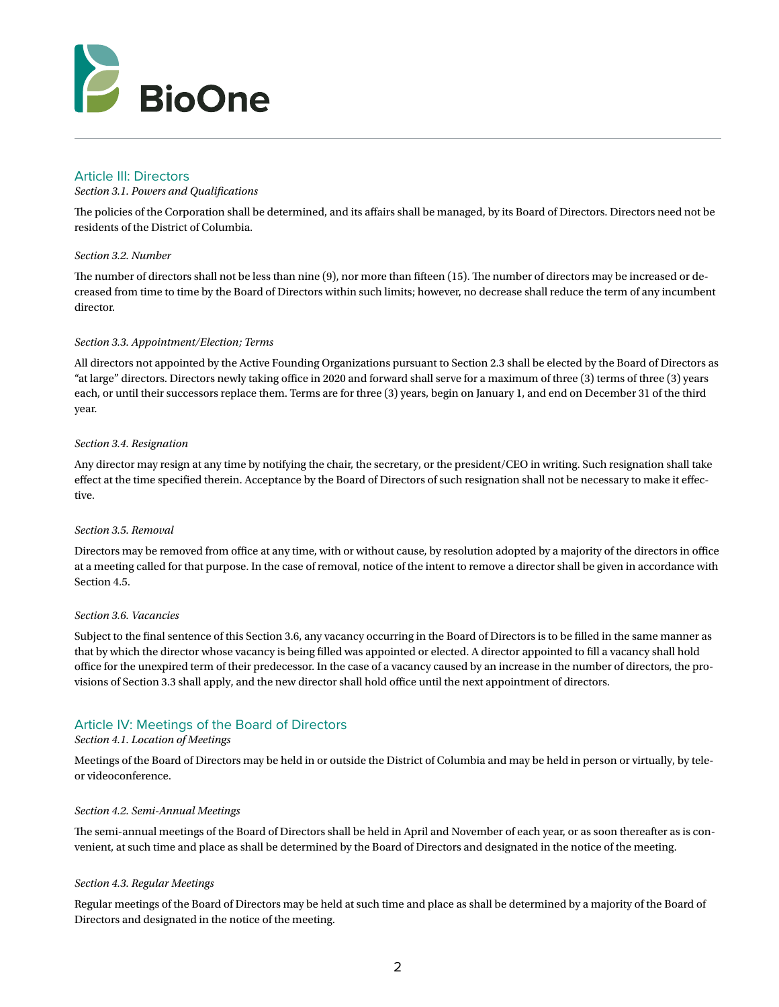

# Article III: Directors

## *Section 3.1. Powers and Qualifications*

The policies of the Corporation shall be determined, and its affairs shall be managed, by its Board of Directors. Directors need not be residents of the District of Columbia.

## *Section 3.2. Number*

The number of directors shall not be less than nine (9), nor more than fifteen (15). The number of directors may be increased or decreased from time to time by the Board of Directors within such limits; however, no decrease shall reduce the term of any incumbent director.

## *Section 3.3. Appointment/Election; Terms*

All directors not appointed by the Active Founding Organizations pursuant to Section 2.3 shall be elected by the Board of Directors as "at large" directors. Directors newly taking office in 2020 and forward shall serve for a maximum of three (3) terms of three (3) years each, or until their successors replace them. Terms are for three (3) years, begin on January 1, and end on December 31 of the third year.

## *Section 3.4. Resignation*

Any director may resign at any time by notifying the chair, the secretary, or the president/CEO in writing. Such resignation shall take effect at the time specified therein. Acceptance by the Board of Directors of such resignation shall not be necessary to make it effective.

#### *Section 3.5. Removal*

Directors may be removed from office at any time, with or without cause, by resolution adopted by a majority of the directors in office at a meeting called for that purpose. In the case of removal, notice of the intent to remove a director shall be given in accordance with Section 4.5.

#### *Section 3.6. Vacancies*

Subject to the final sentence of this Section 3.6, any vacancy occurring in the Board of Directors is to be filled in the same manner as that by which the director whose vacancy is being filled was appointed or elected. A director appointed to fill a vacancy shall hold office for the unexpired term of their predecessor. In the case of a vacancy caused by an increase in the number of directors, the provisions of Section 3.3 shall apply, and the new director shall hold office until the next appointment of directors.

# Article IV: Meetings of the Board of Directors

# *Section 4.1. Location of Meetings*

Meetings of the Board of Directors may be held in or outside the District of Columbia and may be held in person or virtually, by teleor videoconference.

#### *Section 4.2. Semi-Annual Meetings*

The semi-annual meetings of the Board of Directors shall be held in April and November of each year, or as soon thereafter as is convenient, at such time and place as shall be determined by the Board of Directors and designated in the notice of the meeting.

#### *Section 4.3. Regular Meetings*

Regular meetings of the Board of Directors may be held at such time and place as shall be determined by a majority of the Board of Directors and designated in the notice of the meeting.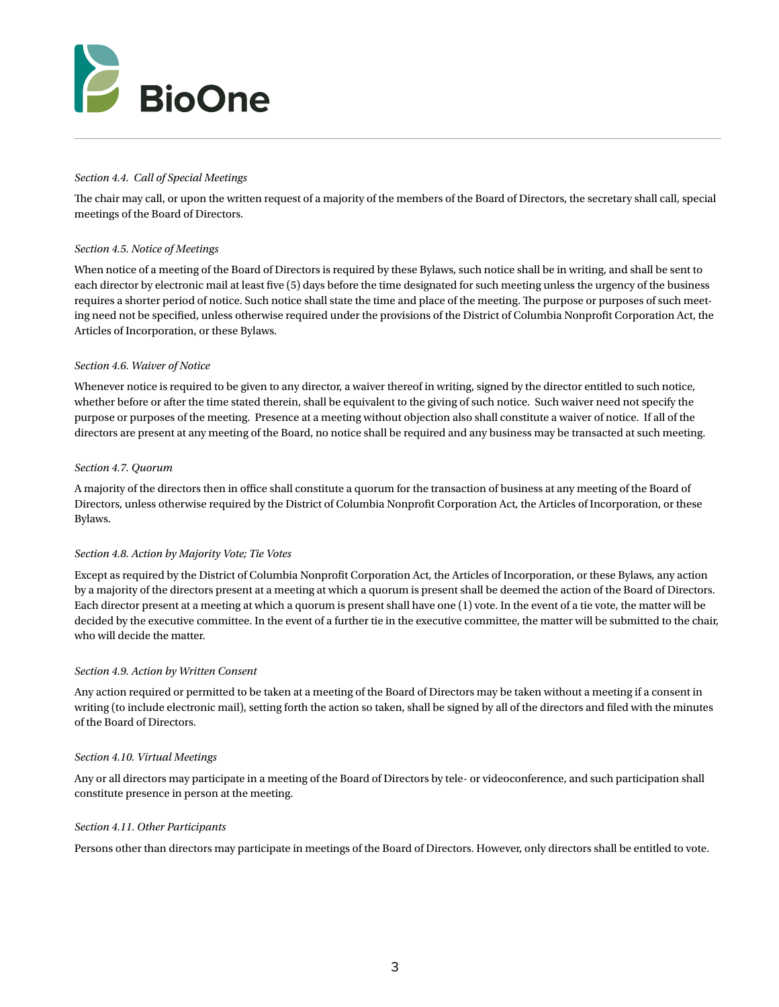

# *Section 4.4. Call of Special Meetings*

The chair may call, or upon the written request of a majority of the members of the Board of Directors, the secretary shall call, special meetings of the Board of Directors.

# *Section 4.5. Notice of Meetings*

When notice of a meeting of the Board of Directors is required by these Bylaws, such notice shall be in writing, and shall be sent to each director by electronic mail at least five (5) days before the time designated for such meeting unless the urgency of the business requires a shorter period of notice. Such notice shall state the time and place of the meeting. The purpose or purposes of such meeting need not be specified, unless otherwise required under the provisions of the District of Columbia Nonprofit Corporation Act, the Articles of Incorporation, or these Bylaws.

# *Section 4.6. Waiver of Notice*

Whenever notice is required to be given to any director, a waiver thereof in writing, signed by the director entitled to such notice, whether before or after the time stated therein, shall be equivalent to the giving of such notice. Such waiver need not specify the purpose or purposes of the meeting. Presence at a meeting without objection also shall constitute a waiver of notice. If all of the directors are present at any meeting of the Board, no notice shall be required and any business may be transacted at such meeting.

## *Section 4.7. Quorum*

A majority of the directors then in office shall constitute a quorum for the transaction of business at any meeting of the Board of Directors, unless otherwise required by the District of Columbia Nonprofit Corporation Act, the Articles of Incorporation, or these Bylaws.

# *Section 4.8. Action by Majority Vote; Tie Votes*

Except as required by the District of Columbia Nonprofit Corporation Act, the Articles of Incorporation, or these Bylaws, any action by a majority of the directors present at a meeting at which a quorum is present shall be deemed the action of the Board of Directors. Each director present at a meeting at which a quorum is present shall have one (1) vote. In the event of a tie vote, the matter will be decided by the executive committee. In the event of a further tie in the executive committee, the matter will be submitted to the chair, who will decide the matter.

# *Section 4.9. Action by Written Consent*

Any action required or permitted to be taken at a meeting of the Board of Directors may be taken without a meeting if a consent in writing (to include electronic mail), setting forth the action so taken, shall be signed by all of the directors and filed with the minutes of the Board of Directors.

# *Section 4.10. Virtual Meetings*

Any or all directors may participate in a meeting of the Board of Directors by tele- or videoconference, and such participation shall constitute presence in person at the meeting.

#### *Section 4.11. Other Participants*

Persons other than directors may participate in meetings of the Board of Directors. However, only directors shall be entitled to vote.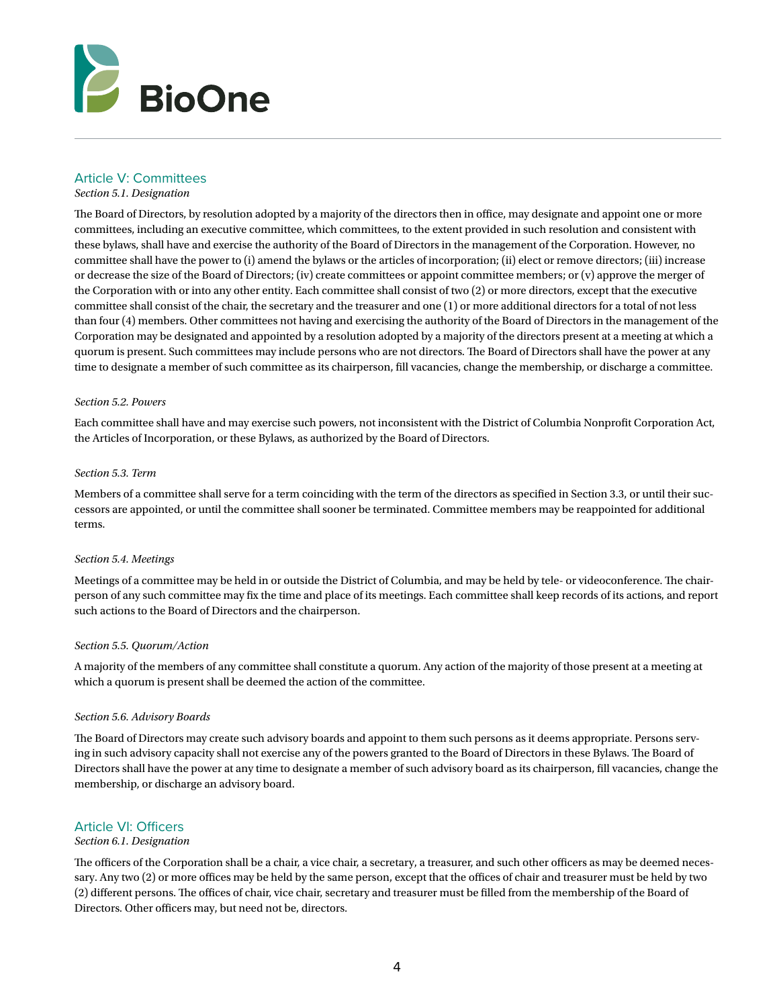

# Article V: Committees

*Section 5.1. Designation*

The Board of Directors, by resolution adopted by a majority of the directors then in office, may designate and appoint one or more committees, including an executive committee, which committees, to the extent provided in such resolution and consistent with these bylaws, shall have and exercise the authority of the Board of Directors in the management of the Corporation. However, no committee shall have the power to (i) amend the bylaws or the articles of incorporation; (ii) elect or remove directors; (iii) increase or decrease the size of the Board of Directors; (iv) create committees or appoint committee members; or (v) approve the merger of the Corporation with or into any other entity. Each committee shall consist of two (2) or more directors, except that the executive committee shall consist of the chair, the secretary and the treasurer and one (1) or more additional directors for a total of not less than four (4) members. Other committees not having and exercising the authority of the Board of Directors in the management of the Corporation may be designated and appointed by a resolution adopted by a majority of the directors present at a meeting at which a quorum is present. Such committees may include persons who are not directors. The Board of Directors shall have the power at any time to designate a member of such committee as its chairperson, fill vacancies, change the membership, or discharge a committee.

#### *Section 5.2. Powers*

Each committee shall have and may exercise such powers, not inconsistent with the District of Columbia Nonprofit Corporation Act, the Articles of Incorporation, or these Bylaws, as authorized by the Board of Directors.

#### *Section 5.3. Term*

Members of a committee shall serve for a term coinciding with the term of the directors as specified in Section 3.3, or until their successors are appointed, or until the committee shall sooner be terminated. Committee members may be reappointed for additional terms.

#### *Section 5.4. Meetings*

Meetings of a committee may be held in or outside the District of Columbia, and may be held by tele- or videoconference. The chairperson of any such committee may fix the time and place of its meetings. Each committee shall keep records of its actions, and report such actions to the Board of Directors and the chairperson.

# *Section 5.5. Quorum/Action*

A majority of the members of any committee shall constitute a quorum. Any action of the majority of those present at a meeting at which a quorum is present shall be deemed the action of the committee.

#### *Section 5.6. Advisory Boards*

The Board of Directors may create such advisory boards and appoint to them such persons as it deems appropriate. Persons serving in such advisory capacity shall not exercise any of the powers granted to the Board of Directors in these Bylaws. The Board of Directors shall have the power at any time to designate a member of such advisory board as its chairperson, fill vacancies, change the membership, or discharge an advisory board.

# Article VI: Officers

# *Section 6.1. Designation*

The officers of the Corporation shall be a chair, a vice chair, a secretary, a treasurer, and such other officers as may be deemed necessary. Any two (2) or more offices may be held by the same person, except that the offices of chair and treasurer must be held by two (2) different persons. The offices of chair, vice chair, secretary and treasurer must be filled from the membership of the Board of Directors. Other officers may, but need not be, directors.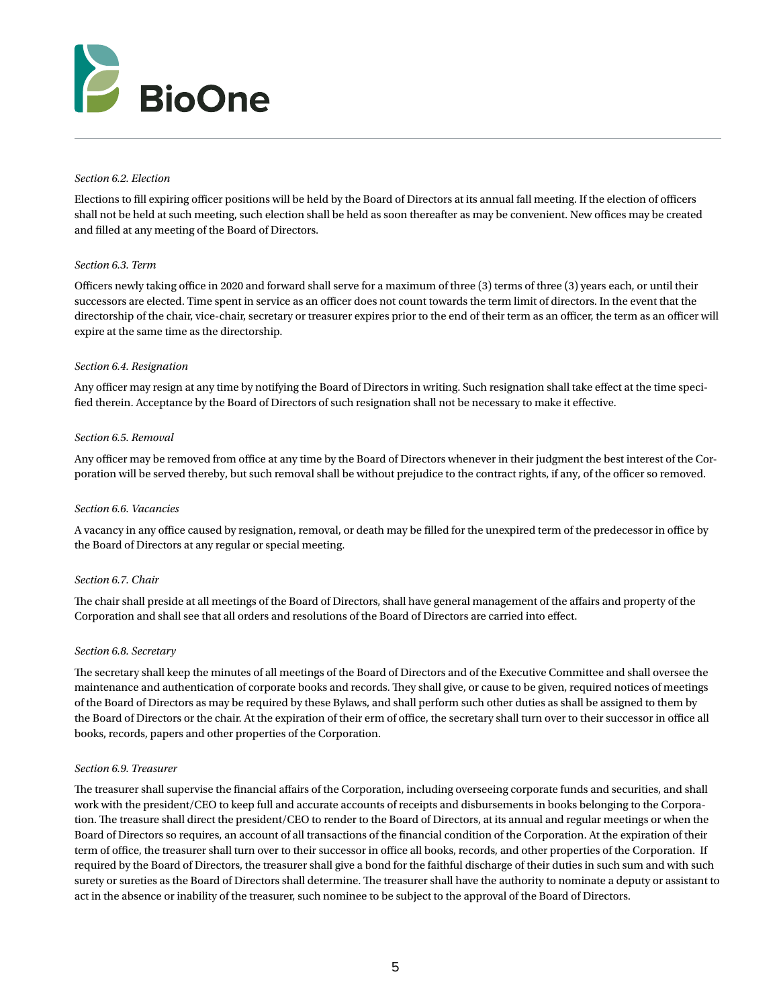

## *Section 6.2. Election*

Elections to fill expiring officer positions will be held by the Board of Directors at its annual fall meeting. If the election of officers shall not be held at such meeting, such election shall be held as soon thereafter as may be convenient. New offices may be created and filled at any meeting of the Board of Directors.

## *Section 6.3. Term*

Officers newly taking office in 2020 and forward shall serve for a maximum of three (3) terms of three (3) years each, or until their successors are elected. Time spent in service as an officer does not count towards the term limit of directors. In the event that the directorship of the chair, vice-chair, secretary or treasurer expires prior to the end of their term as an officer, the term as an officer will expire at the same time as the directorship.

## *Section 6.4. Resignation*

Any officer may resign at any time by notifying the Board of Directors in writing. Such resignation shall take effect at the time specified therein. Acceptance by the Board of Directors of such resignation shall not be necessary to make it effective.

## *Section 6.5. Removal*

Any officer may be removed from office at any time by the Board of Directors whenever in their judgment the best interest of the Corporation will be served thereby, but such removal shall be without prejudice to the contract rights, if any, of the officer so removed.

#### *Section 6.6. Vacancies*

A vacancy in any office caused by resignation, removal, or death may be filled for the unexpired term of the predecessor in office by the Board of Directors at any regular or special meeting.

#### *Section 6.7. Chair*

The chair shall preside at all meetings of the Board of Directors, shall have general management of the affairs and property of the Corporation and shall see that all orders and resolutions of the Board of Directors are carried into effect.

#### *Section 6.8. Secretary*

The secretary shall keep the minutes of all meetings of the Board of Directors and of the Executive Committee and shall oversee the maintenance and authentication of corporate books and records. They shall give, or cause to be given, required notices of meetings of the Board of Directors as may be required by these Bylaws, and shall perform such other duties as shall be assigned to them by the Board of Directors or the chair. At the expiration of their erm of office, the secretary shall turn over to their successor in office all books, records, papers and other properties of the Corporation.

#### *Section 6.9. Treasurer*

The treasurer shall supervise the financial affairs of the Corporation, including overseeing corporate funds and securities, and shall work with the president/CEO to keep full and accurate accounts of receipts and disbursements in books belonging to the Corporation. The treasure shall direct the president/CEO to render to the Board of Directors, at its annual and regular meetings or when the Board of Directors so requires, an account of all transactions of the financial condition of the Corporation. At the expiration of their term of office, the treasurer shall turn over to their successor in office all books, records, and other properties of the Corporation. If required by the Board of Directors, the treasurer shall give a bond for the faithful discharge of their duties in such sum and with such surety or sureties as the Board of Directors shall determine. The treasurer shall have the authority to nominate a deputy or assistant to act in the absence or inability of the treasurer, such nominee to be subject to the approval of the Board of Directors.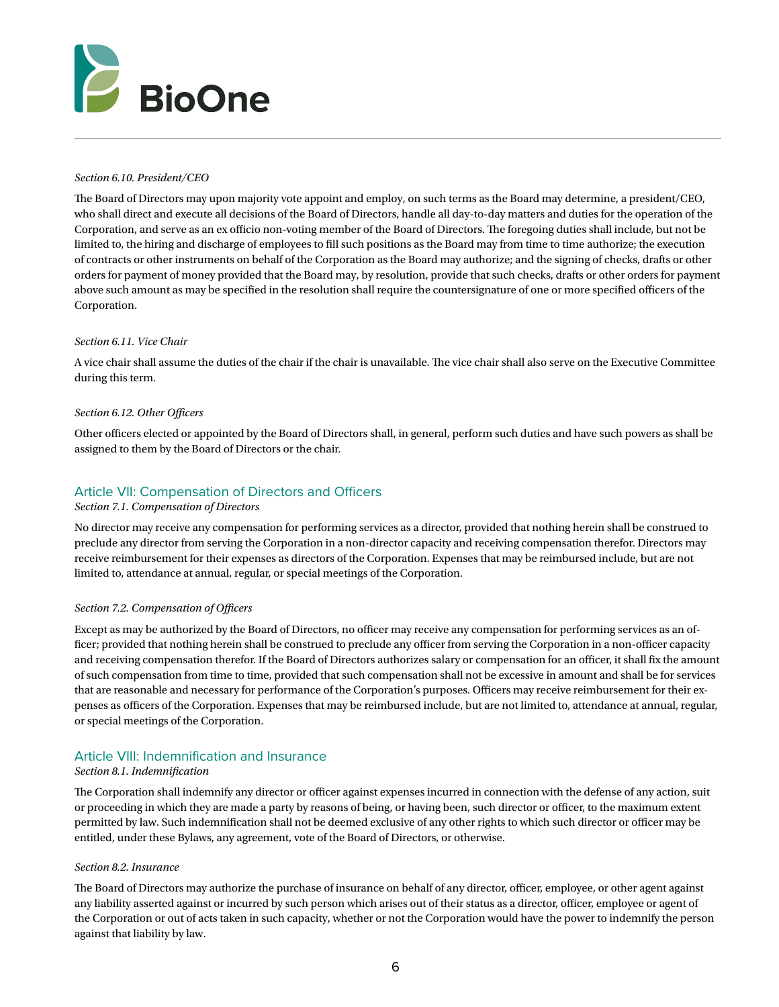

## *Section 6.10. President/CEO*

The Board of Directors may upon majority vote appoint and employ, on such terms as the Board may determine, a president/CEO, who shall direct and execute all decisions of the Board of Directors, handle all day-to-day matters and duties for the operation of the Corporation, and serve as an ex officio non-voting member of the Board of Directors. The foregoing duties shall include, but not be limited to, the hiring and discharge of employees to fill such positions as the Board may from time to time authorize; the execution of contracts or other instruments on behalf of the Corporation as the Board may authorize; and the signing of checks, drafts or other orders for payment of money provided that the Board may, by resolution, provide that such checks, drafts or other orders for payment above such amount as may be specified in the resolution shall require the countersignature of one or more specified officers of the Corporation.

## *Section 6.11. Vice Chair*

A vice chair shall assume the duties of the chair if the chair is unavailable. The vice chair shall also serve on the Executive Committee during this term.

## *Section 6.12. Other Officers*

Other officers elected or appointed by the Board of Directors shall, in general, perform such duties and have such powers as shall be assigned to them by the Board of Directors or the chair.

# Article VII: Compensation of Directors and Officers

#### *Section 7.1. Compensation of Directors*

No director may receive any compensation for performing services as a director, provided that nothing herein shall be construed to preclude any director from serving the Corporation in a non-director capacity and receiving compensation therefor. Directors may receive reimbursement for their expenses as directors of the Corporation. Expenses that may be reimbursed include, but are not limited to, attendance at annual, regular, or special meetings of the Corporation.

#### *Section 7.2. Compensation of Officers*

Except as may be authorized by the Board of Directors, no officer may receive any compensation for performing services as an officer; provided that nothing herein shall be construed to preclude any officer from serving the Corporation in a non-officer capacity and receiving compensation therefor. If the Board of Directors authorizes salary or compensation for an officer, it shall fix the amount of such compensation from time to time, provided that such compensation shall not be excessive in amount and shall be for services that are reasonable and necessary for performance of the Corporation's purposes. Officers may receive reimbursement for their expenses as officers of the Corporation. Expenses that may be reimbursed include, but are not limited to, attendance at annual, regular, or special meetings of the Corporation.

# Article VIII: Indemnification and Insurance *Section 8.1. Indemnification*

The Corporation shall indemnify any director or officer against expenses incurred in connection with the defense of any action, suit or proceeding in which they are made a party by reasons of being, or having been, such director or officer, to the maximum extent permitted by law. Such indemnification shall not be deemed exclusive of any other rights to which such director or officer may be entitled, under these Bylaws, any agreement, vote of the Board of Directors, or otherwise.

#### *Section 8.2. Insurance*

The Board of Directors may authorize the purchase of insurance on behalf of any director, officer, employee, or other agent against any liability asserted against or incurred by such person which arises out of their status as a director, officer, employee or agent of the Corporation or out of acts taken in such capacity, whether or not the Corporation would have the power to indemnify the person against that liability by law.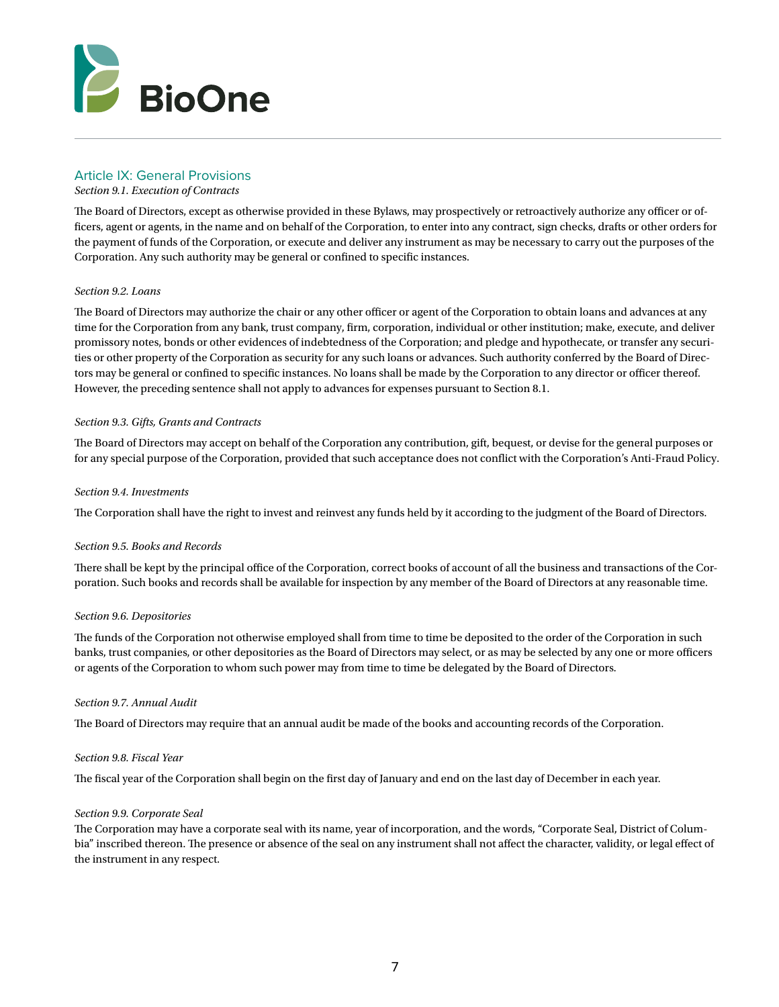

# Article IX: General Provisions

# *Section 9.1. Execution of Contracts*

The Board of Directors, except as otherwise provided in these Bylaws, may prospectively or retroactively authorize any officer or officers, agent or agents, in the name and on behalf of the Corporation, to enter into any contract, sign checks, drafts or other orders for the payment of funds of the Corporation, or execute and deliver any instrument as may be necessary to carry out the purposes of the Corporation. Any such authority may be general or confined to specific instances.

# *Section 9.2. Loans*

The Board of Directors may authorize the chair or any other officer or agent of the Corporation to obtain loans and advances at any time for the Corporation from any bank, trust company, firm, corporation, individual or other institution; make, execute, and deliver promissory notes, bonds or other evidences of indebtedness of the Corporation; and pledge and hypothecate, or transfer any securities or other property of the Corporation as security for any such loans or advances. Such authority conferred by the Board of Directors may be general or confined to specific instances. No loans shall be made by the Corporation to any director or officer thereof. However, the preceding sentence shall not apply to advances for expenses pursuant to Section 8.1.

## *Section 9.3. Gifts, Grants and Contracts*

The Board of Directors may accept on behalf of the Corporation any contribution, gift, bequest, or devise for the general purposes or for any special purpose of the Corporation, provided that such acceptance does not conflict with the Corporation's Anti-Fraud Policy.

## *Section 9.4. Investments*

The Corporation shall have the right to invest and reinvest any funds held by it according to the judgment of the Board of Directors.

# *Section 9.5. Books and Records*

There shall be kept by the principal office of the Corporation, correct books of account of all the business and transactions of the Corporation. Such books and records shall be available for inspection by any member of the Board of Directors at any reasonable time.

# *Section 9.6. Depositories*

The funds of the Corporation not otherwise employed shall from time to time be deposited to the order of the Corporation in such banks, trust companies, or other depositories as the Board of Directors may select, or as may be selected by any one or more officers or agents of the Corporation to whom such power may from time to time be delegated by the Board of Directors.

# *Section 9.7. Annual Audit*

The Board of Directors may require that an annual audit be made of the books and accounting records of the Corporation.

#### *Section 9.8. Fiscal Year*

The fiscal year of the Corporation shall begin on the first day of January and end on the last day of December in each year.

# *Section 9.9. Corporate Seal*

The Corporation may have a corporate seal with its name, year of incorporation, and the words, "Corporate Seal, District of Columbia" inscribed thereon. The presence or absence of the seal on any instrument shall not affect the character, validity, or legal effect of the instrument in any respect.